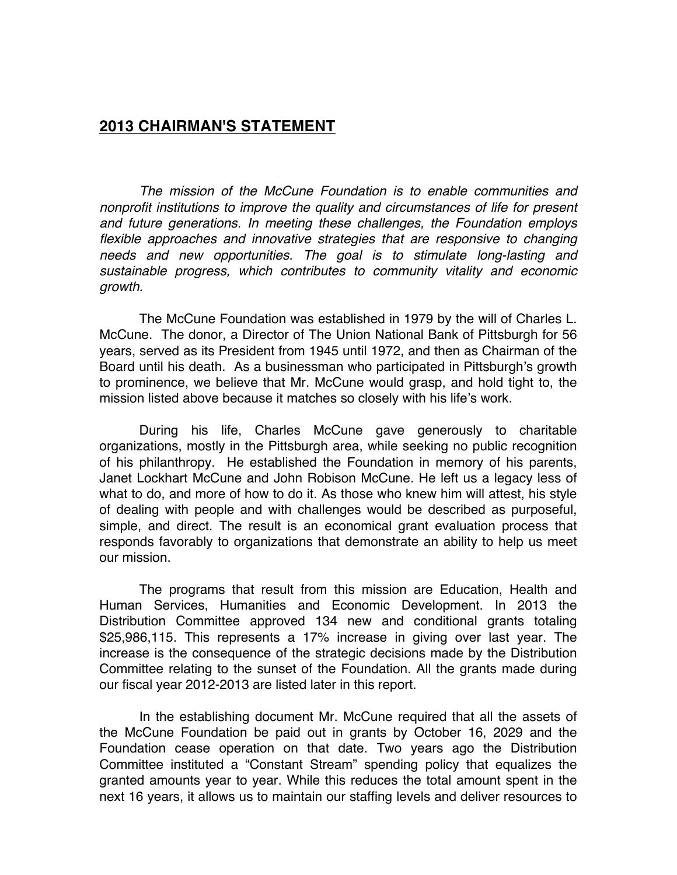## **2013 CHAIRMAN'S STATEMENT**

*The mission of the McCune Foundation is to enable communities and nonprofit institutions to improve the quality and circumstances of life for present and future generations. In meeting these challenges, the Foundation employs*  flexible approaches and innovative strategies that are responsive to changing *needs and new opportunities. The goal is to stimulate long-lasting and sustainable progress, which contributes to community vitality and economic growth.*

The McCune Foundation was established in 1979 by the will of Charles L. McCune. The donor, a Director of The Union National Bank of Pittsburgh for 56 years, served as its President from 1945 until 1972, and then as Chairman of the Board until his death. As a businessman who participated in Pittsburgh's growth to prominence, we believe that Mr. McCune would grasp, and hold tight to, the mission listed above because it matches so closely with his life's work.

During his life, Charles McCune gave generously to charitable organizations, mostly in the Pittsburgh area, while seeking no public recognition of his philanthropy. He established the Foundation in memory of his parents, Janet Lockhart McCune and John Robison McCune. He left us a legacy less of what to do, and more of how to do it. As those who knew him will attest, his style of dealing with people and with challenges would be described as purposeful, simple, and direct. The result is an economical grant evaluation process that responds favorably to organizations that demonstrate an ability to help us meet our mission.

The programs that result from this mission are Education, Health and Human Services, Humanities and Economic Development. In 2013 the Distribution Committee approved 134 new and conditional grants totaling \$25,986,115. This represents a 17% increase in giving over last year. The increase is the consequence of the strategic decisions made by the Distribution Committee relating to the sunset of the Foundation. All the grants made during our fiscal year 2012-2013 are listed later in this report.

In the establishing document Mr. McCune required that all the assets of the McCune Foundation be paid out in grants by October 16, 2029 and the Foundation cease operation on that date. Two years ago the Distribution Committee instituted a "Constant Stream" spending policy that equalizes the granted amounts year to year. While this reduces the total amount spent in the next 16 years, it allows us to maintain our staffing levels and deliver resources to